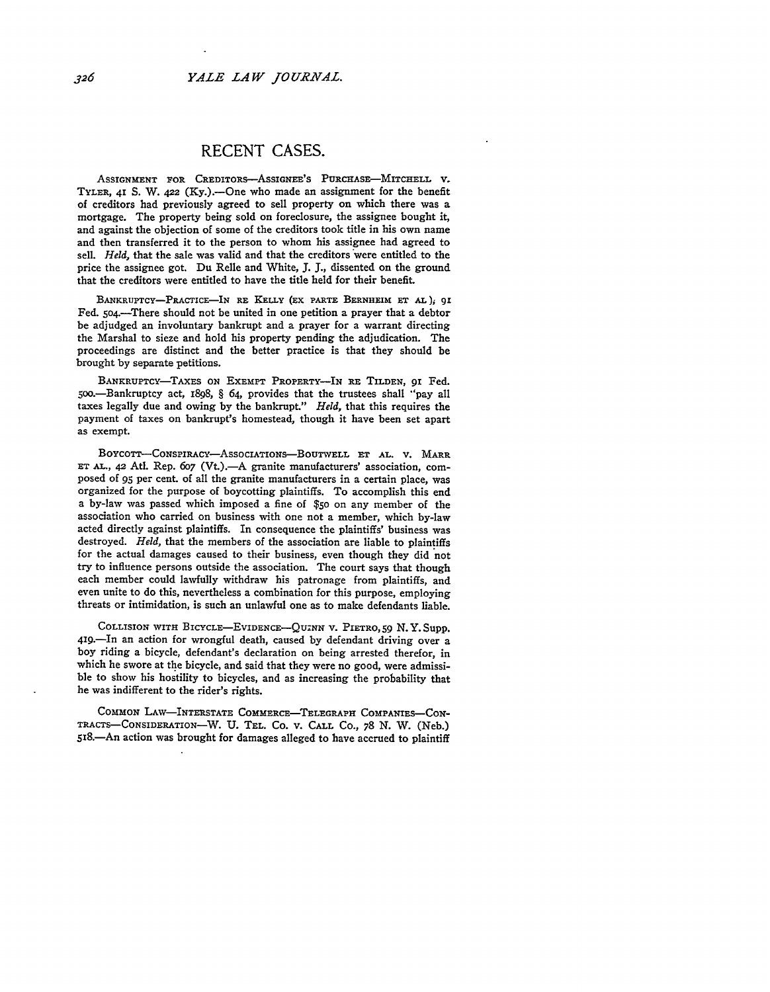## **RECENT CASES.**

ASSIGNMENT FOR CREDITORS-ASSIGNEE'S PURCHASE-MITCHELL V. **TYLER, 41 S.** W. 422 (Ky.).-One who made an assignment for the benefit of creditors had previously agreed to sell property on which there was a mortgage. The property being sold on foreclosure, the assignee bought it, and against the objection of some of the creditors took title in his own name and then transferred it to the person to whom his assignee had agreed to sell. *Held,* that the sale was valid and that the creditors were entitled to the price the assignee got. Du Relle and White, **J. J.,** dissented on the ground that the creditors were entitled to have the title held for their benefit.

**BANKRUPTY-PRACTICE-IN RE KELLY (Ex PARTE** BERNHEIM **ET** *AL.);* **91** Fed. 5o4.-There should not be united in one petition a prayer that a debtor be adjudged an involuntary bankrupt and a prayer for a warrant directing the Marshal to sieze and hold his property pending the adjudication. The proceedings are distinct and the better practice is that they should be brought **by** separate petitions.

**BANKRUPTCY-TAxES ON EXEMPT PROPERTY-IN RE TILDEN, 91** Fed. 5oo.-Bankruptcy act, 1898, § 64, provides that the trustees shall "pay all taxes legally due and owing **by** the bankrupt." *Held,* that this requires the payment of taxes on bankrupt's homestead, though it have been set apart as exempt.

**BoycOTT-CoNspIRAcy-AssocIATIoNs-BouTWELL ET AL. V. MARR** ET **AL.,** *42* Atl. Rep. 6o7 **(Vt).-A granite manufacturers' association, composed of 95** per cent. of all the granite manufacturers in a certain place, was organized for the purpose of boycotting plaintiffs. To accomplish this end a by-law was passed which imposed a fine of **\$5o** on any member of the association who carried on business with one not a member, which by-law acted directly against plaintiffs. In **consequence** the plaintiffs' business was destroyed. *Held,* that the members of the association are liable to plaintiffs for the actual damages caused to their business, even though they did not try to influence persons outside the association. The court says that though each member could lawfully withdraw his patronage from plaintiffs, and even unite to do this, nevertheless a combination for this purpose, employing threats or intimidation, is such an unlawful one as to make defendants liable.

**COLLISION WITH BICYCLE-EVIDENCE-QUINN** V. **PIETRO, 59** N.Y. Supp. 41g.-In an action for wrongful death, caused by defendant driving over a boy riding a bicycle, defendant's declaration on being arrested therefor, in which he swore at the bicycle, and said that they were no good, were admissible to show his hostility to bicycles, and as increasing the probability that he was indifferent to the rider's rights.

COMMON LAW-INTERSTATE COMMERCE-TELEGRAPH COMPANIES-CON-**TRACTS-CONSIDERATION-W.** U. TEL. Co. v. **CALL** Co., **78** N. W. (Neb.) 518.-An action was brought for damages alleged to have accrued to plaintiff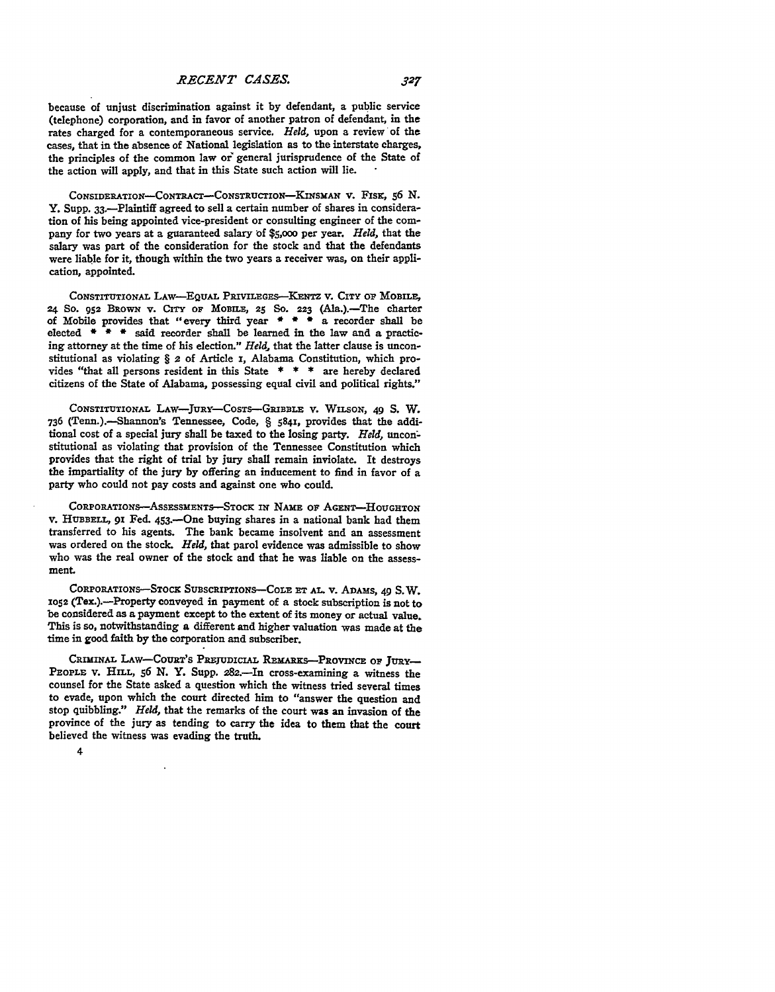because of unjust discrimination against it **by** defendant, a public service (telephone) corporation, and in favor of another patron of defendant, in the rates charged for a contemporaneous service. *Held,* upon a review of the cases, that in the absence of National legislation as to the interstate charges, the principles of the common law **ori** general jurisprudence of the State of the action will apply, and that in this State such action will lie.

CONSIDERATION-CONTRACT-CONSTRUCTION-KINSMAN V. FISK, 56 N. **Y.** Supp. 33.-Plaintiff agreed to sell a certain number of shares in consideration of his being appointed vice-president or consulting engineer of the company for two years at a guaranteed salary **of** \$5,000 per year. *Held,* that the salary was part of the consideration for the stock and that the defendants were liable for it, though within the two years a receiver was, on their application, appointed.

CONSTITUTIONAL LAW-EQUAL PRIVILEGES-KENTZ V. CITY **OF MOBILE, 24 So. 952** BRowN **v. CITY oF MOBILE, 25 So. 223** (Ala.).-The charter of Mobile provides that "every third year **\* \* \*** a recorder shall be elected **\* \* \* said** recorder shall be learned in the law and a practicing attorney at the time of his election." *Held,* that the latter clause is unconstitutional as violating § 2 of **Article I,** Alabama Constitution, which provides "that all persons resident in this State **\*** \* \* are hereby declared citizens of the State of Alabama, possessing equal civil and political rights."

**CONSTITUTIONAL LAW-JURY-COSTS-GRBBLE V. WILSON,** 49 **S.** W. **736** (Tenn.).-Shannon's Tennessee, Code, **§** 5841, provides that the additional cost of a special jury shall be taxed to the losing party. *Held*, unconstitutional as violating that provision of the Tennessee Constitution which provides that the right of trial **by** jury shall remain inviolate. It destroys the impartiality of the jury **by** offering an inducement to find in favor of a party who could not pay costs and against one who could.

CoRPoRATIoNs-AssEssMENTS--STOCK IN **NAmE or AGENT-HOUGHTON V.** HUBBELL, **91** Fed. 453.-One buying shares in a national bank had them transferred to his agents. The bank became insolvent and an assessment was ordered on the stock. *Held,* that parol evidence was admissible to show who was the real owner of the stock and that he was liable on the assessment

CORPORATIONS-STocK **SUBSCRIPTIONS-COLE** Lr *AL.* **V.** ADAMS, 49 S.W. **1052** (Tex.).-Property conveyed in payment of a stock subscription is not to be considered as a payment except to the extent of its money or actual value. This is so, notwithstanding a different and higher valuation was made at the **time** in **good** faith **by** the corporation and subscriber.

**CIMINAL** LAw-CouRT'S **PREJUDICIAL** REmAREs-PRovINcE **OF JURY-**PEOPLE V. HILL, 56 N. Y. Supp. 282.--In cross-examining a witness the counsel for the State asked a question which the witness tried several times to evade, upon which the court directed him to "answer the question and stop quibbling." *Held,* that the remarks of the court **was** an invasion of the province of the jury as tending to carry the idea to them that the court believed the witness **was** evading the **truth.**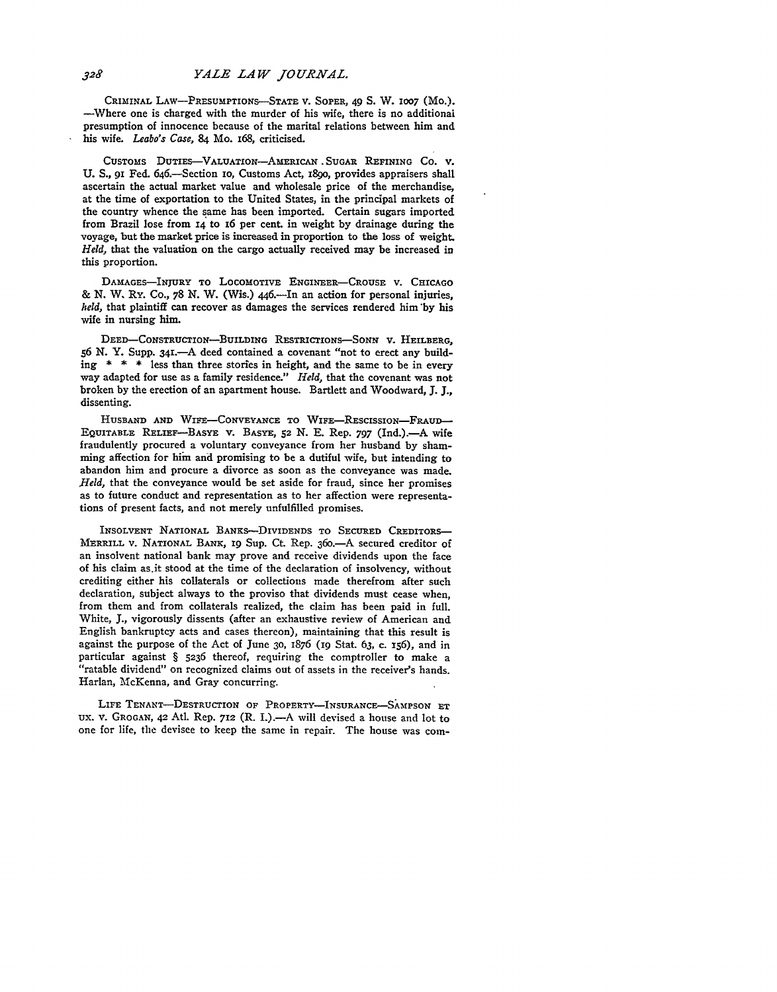CRIMINAL LAW-PRESUMPTIONS-STATE V. SOPER, 49 **S.** W. **1007** (Mo.). -Where one is charged with the murder of his wife, there is no additional presumption of innocence because of the marital relations between him and his wife. *Leabo's Case,* 84 Mo. I68, criticised.

CUSTOMS DUTIES-VALUATION-AMERICAN .SUGAR REFINING **CO. V. U. S., 9i** Fed. 646.-Section **io,** Customs Act, i8go, provides appraisers shall ascertain the actual market value and wholesale price of the merchandise, at the time of exportation to the United States, in the principal markets of the country whence the same has been imported. Certain sugars imported from Brazil lose from L4 to 16 per cent. in weight **by** drainage during the voyage, but the market price is increased in proportion to the loss of weight. *Held,* that the valuation on the cargo actually received may be increased in this proportion.

DAMAGES-INJURY TO LOCOMOTIVE **ENGINEER-CROUSE** V. **CHICAGO** & **N.** W. Ry. Co., 78 **N.** W. (Wis.) 446.-In an action for personal injuries, *held,* that plaintiff can recover as damages the services rendered him 'by his wife in nursing him.

DEED-CONSTRUCTION-BUILDING RESTRICTIONS-SONN V. HEILBERG, *56* **N. Y.** Supp. 341.-A deed contained a covenant "not to erect any building **\* \* \*** less than three stories in height, and the same to be in every way adapted for use as a family residence." *Held,* that the covenant was not broken **by** the erection of an apartment house. Bartlett and Woodward, **J. J.,** dissenting.

HUSBAND AND WIFE-CONVEYANCE TO WIFE-RESCISSION-FRAUD-EQUITABLE RELIEF-BASYE V. BASYE, **52 N. E.** Rep. **797** (Ind.).-A wife fraudulently procured a voluntary conveyance from her husband **by** shamming affection for him and promising to be a dutiful wife, but intending to abandon him and procure a divorce as soon as the conveyance was made. *Field,* that the conveyance would be set aside for fraud, since her promises as to future conduct and representation as to her affection were representations of present facts, and not merely unfulfilled promises.

**INSOLVENT** NATIONAL BANKS-DIVIDENDS TO **SECURED** CREDITORS-MERRILL V. NATIONAL BANK, 19 Sup. Ct. Rep. 360.--A secured creditor of an insolvent national bank may prove and receive dividends upon the face of his claim as.it stood at the time of the declaration of insolvency, without crediting either his collaterals or collections made therefrom after such declaration, subject always to the proviso that dividends must cease when, from them and from collaterals realized, the claim has been paid in full. White, **J.,** vigorously dissents (after an exhaustive review of American and English bankruptcy acts and cases thereon), maintaining that this result is against the purpose of the Act of June **30,** 1876 (ig Stat. **63,** c. 156), and in particular against § 5236 thereof, requiring the comptroller to make a "ratable dividend" on recognized claims out of assets in the receiver's hands. Harlan, McKenna, and Gray concurring.

LIFE **TENANT-DESTRUCTION OF PROPERTY-INSURANCE-SAMPSON ET** UX. **V. GROGAN, 42 Atl. Rep. 712 (R. I.).—A** will devised a house and lot to one for life, the devisee to keep the same in repair. The house was **coin-**

 $328$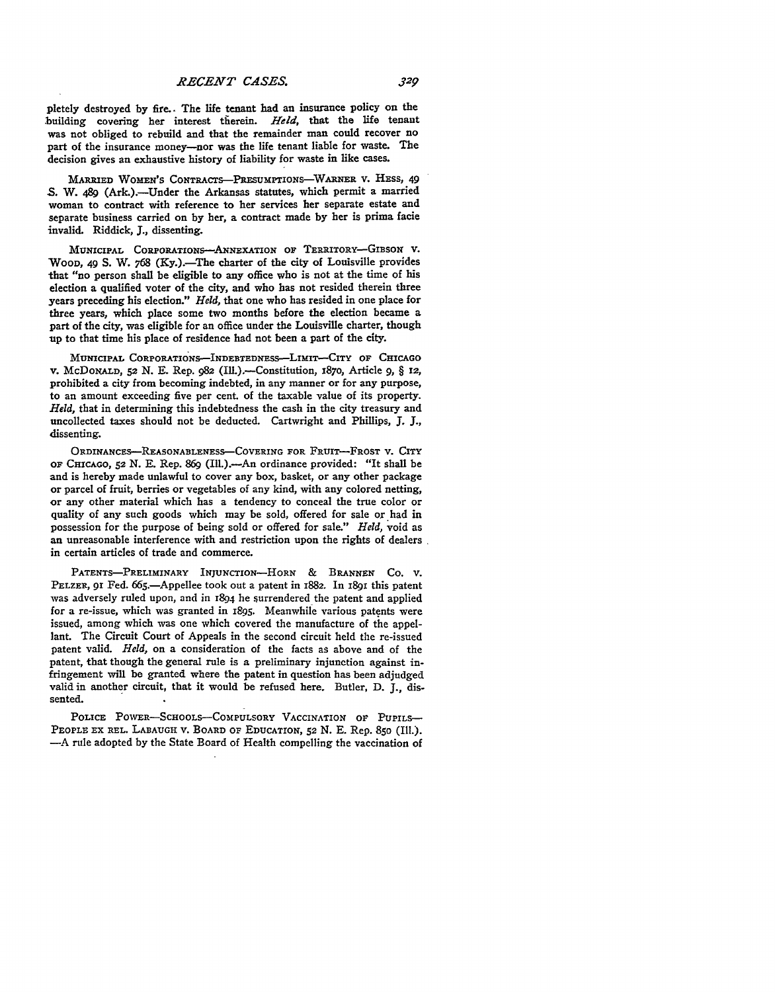pletely destroyed **by** fire.- The life tenant had an insurance policy on the building covering her interest tfierein. *Held,* that the life tenant was not obliged to rebuild and that the remainder man could recover no part of the insurance money-nor was the life tenant liable for waste. The decision gives an exhaustive history of liability for waste in like cases.

MARRIED **WOMEN'S CONTRACTS-PRESUMPTIONS-WARNER V. HESS,** 49 S. W. 489 (Ark.).--Under the Arkansas statutes, which permit a married woman to contract with reference to her services her separate estate and separate business carried on **by** her, a contract made **by** her is prima facie invalid. Riddick, **J.,** dissenting.

MUNICIPAL **CoRPoRATIoNS-ANNExATioN OF** TERRITORY-GIEsON V. WOOD, 49 **S.** W. *768* (Ky.)-The charter of the city of Louisville provides that "no person shall be eligible to any office who is not at the time of his election a qualified voter of the city, and who has not resided therein three years preceding his election." *Held,* that one who has resided in one place for three years, which place some two months before the election became a part of the city, was eligible for an office under the Louisville charter, though **up** to that time his place of residence had not been a part of the city.

**MUNICIPAL** CORPORATIONS-INDEBTEDNESs--LIMIT-CITY OF CHICAGO v. MCDONALD, *52* **N. E.** Rep. **982** (IH.).-Constitution, i87O, Article **9,** § 12, prohibited a city from becoming indebted, in any manner or for any purpose, to an amount exceeding five per cent. of the taxable value of its property. *Held,* that in determining this indebtedness the cash in the city treasury and uncollected taxes should not be deducted. Cartwright and Phillips, **J.** *3,* dissenting.

ORDINANCES-REASONABLENESS-COVERING FOR FRUIT-FROST V. CITY OF CHICAGO, **52 N. E.** Rep. *869* (Ill.).-An ordinance provided: "It shall be and is hereby made unlawful to cover any box, basket, or any other package or parcel of fruit, berries or vegetables of any kind, with any colored netting, or any other material which has a tendency to conceal the true color or quality of any such goods which may be sold, offered for sale or had in possession for the purpose of being sold or offered for sale." *Held,* void as an unreasonable interference with and restriction upon the rights of dealers in certain articles of trade and commerce.

PATENTS-PRELIMINARY INJUNCTION-HORN & **BRANNEN Co.** v. PELZER, **91** Fed. 665-Appellee took out a patent in 1882. In 1891 this patent was adversely ruled upon, and in 1894 he surrendered the patent and applied for a re-issue, which was granted in **1895.** Meanwhile various patents were issued, among which was one which covered the manufacture of the appellant. The Circuit Court of Appeals in the second circuit held the re-issued patent valid. *Held,* on a consideration of the facts as above and of the patent, that though the general rule is a preliminary injunction against infringement will be granted where the patent in question has been adjudged **valid in another circuit, that** it would be refused here. Butler, **D. J., dissented.**

POLICE POWER-SCHOOLS-COMPULSORY VACCINATION OF PUPILS-PEOPLE EX REL. LABAUGH V. BOARD OF EDUCATION, 52 N. E. Rep. 850 (Ill.). **-A** rule adopted **by the State Board** of Health compelling the vaccination of